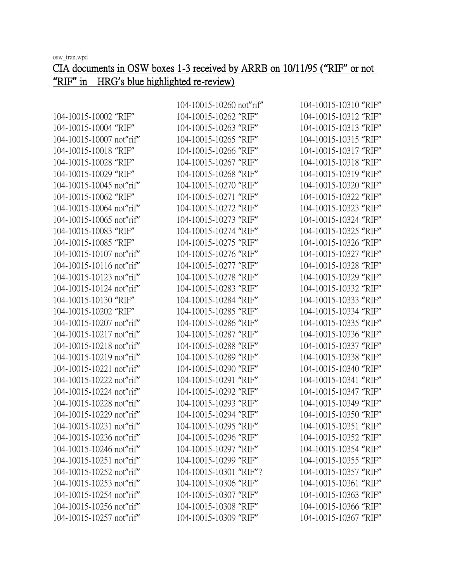|                          | 104-10015-10260 not"rif" | 104-10015-10310 "RIF" |
|--------------------------|--------------------------|-----------------------|
| 104-10015-10002 "RIF"    | 104-10015-10262 "RIF"    | 104-10015-10312 "RIF" |
| 104-10015-10004 "RIF"    | 104-10015-10263 "RIF"    | 104-10015-10313 "RIF" |
| 104-10015-10007 not"rif" | 104-10015-10265 "RIF"    | 104-10015-10315 "RIF" |
| 104-10015-10018 "RIF"    | 104-10015-10266 "RIF"    | 104-10015-10317 "RIF" |
| 104-10015-10028 "RIF"    | 104-10015-10267 "RIF"    | 104-10015-10318 "RIF" |
| 104-10015-10029 "RIF"    | 104-10015-10268 "RIF"    | 104-10015-10319 "RIF" |
| 104-10015-10045 not"rif" | 104-10015-10270 "RIF"    | 104-10015-10320 "RIF" |
| 104-10015-10062 "RIF"    | 104-10015-10271 "RIF"    | 104-10015-10322 "RIF" |
| 104-10015-10064 not"rif" | 104-10015-10272 "RIF"    | 104-10015-10323 "RIF" |
| 104-10015-10065 not"rif" | 104-10015-10273 "RIF"    | 104-10015-10324 "RIF" |
| 104-10015-10083 "RIF"    | 104-10015-10274 "RIF"    | 104-10015-10325 "RIF" |
| 104-10015-10085 "RIF"    | 104-10015-10275 "RIF"    | 104-10015-10326 "RIF" |
| 104-10015-10107 not"rif" | 104-10015-10276 "RIF"    | 104-10015-10327 "RIF" |
| 104-10015-10116 not"rif" | 104-10015-10277 "RIF"    | 104-10015-10328 "RIF" |
| 104-10015-10123 not"rif" | 104-10015-10278 "RIF"    | 104-10015-10329 "RIF" |
| 104-10015-10124 not"rif" | 104-10015-10283 "RIF"    | 104-10015-10332 "RIF" |
| 104-10015-10130 "RIF"    | 104-10015-10284 "RIF"    | 104-10015-10333 "RIF" |
| 104-10015-10202 "RIF"    | 104-10015-10285 "RIF"    | 104-10015-10334 "RIF" |
| 104-10015-10207 not"rif" | 104-10015-10286 "RIF"    | 104-10015-10335 "RIF" |
| 104-10015-10217 not"rif" | 104-10015-10287 "RIF"    | 104-10015-10336 "RIF" |
| 104-10015-10218 not"rif" | 104-10015-10288 "RIF"    | 104-10015-10337 "RIF" |
| 104-10015-10219 not"rif" | 104-10015-10289 "RIF"    | 104-10015-10338 "RIF" |
| 104-10015-10221 not"rif" | 104-10015-10290 "RIF"    | 104-10015-10340 "RIF" |
| 104-10015-10222 not"rif" | 104-10015-10291 "RIF"    | 104-10015-10341 "RIF" |
| 104-10015-10224 not"rif" | 104-10015-10292 "RIF"    | 104-10015-10347 "RIF" |
| 104-10015-10228 not"rif" | 104-10015-10293 "RIF"    | 104-10015-10349 "RIF" |
| 104-10015-10229 not"rif" | 104-10015-10294 "RIF"    | 104-10015-10350 "RIF" |
| 104-10015-10231 not"rif" | 104-10015-10295 "RIF"    | 104-10015-10351 "RIF" |
| 104-10015-10236 not"rif" | 104-10015-10296 "RIF"    | 104-10015-10352 "RIF" |
| 104-10015-10246 not"rif" | 104-10015-10297 "RIF"    | 104-10015-10354 "RIF" |
| 104-10015-10251 not"rif" | 104-10015-10299 "RIF"    | 104-10015-10355 "RIF" |
| 104-10015-10252 not"rif" | 104-10015-10301 "RIF"?   | 104-10015-10357 "RIF" |
| 104-10015-10253 not"rif" | 104-10015-10306 "RIF"    | 104-10015-10361 "RIF" |
| 104-10015-10254 not"rif" | 104-10015-10307 "RIF"    | 104-10015-10363 "RIF" |
| 104-10015-10256 not"rif" | 104-10015-10308 "RIF"    | 104-10015-10366 "RIF" |
| 104-10015-10257 not"rif" | 104-10015-10309 "RIF"    | 104-10015-10367 "RIF" |

## **"**RIF**"** in HRG**'**s blue highlighted re-review)

CIA documents in OSW boxes 1-3 received by ARRB on 10/11/95 (**"**RIF**"** or not

osw\_tran.wpd